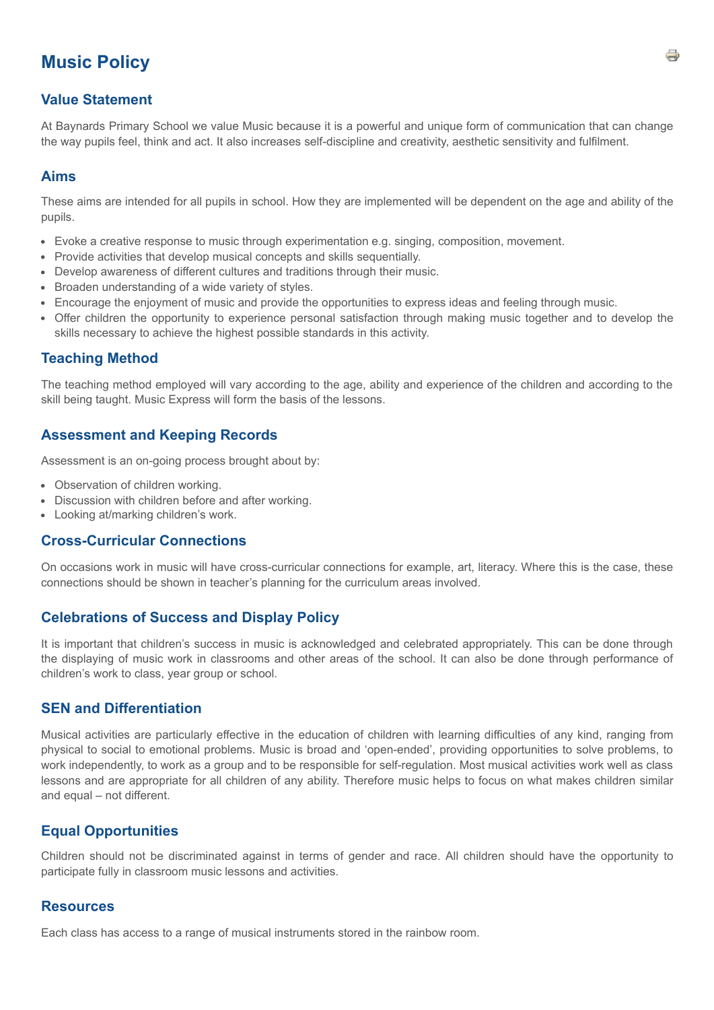# **Music Policy**

## **Value Statement**

At Baynards Primary School we value Music because it is a powerful and unique form of communication that can change the way pupils feel, think and act. It also increases self-discipline and creativity, aesthetic sensitivity and fulfilment.

#### **Aims**

These aims are intended for all pupils in school. How they are implemented will be dependent on the age and ability of the pupils.

- Evoke a creative response to music through experimentation e.g. singing, composition, movement.
- Provide activities that develop musical concepts and skills sequentially.
- Develop awareness of different cultures and traditions through their music.
- Broaden understanding of a wide variety of styles.
- Encourage the enjoyment of music and provide the opportunities to express ideas and feeling through music.
- Offer children the opportunity to experience personal satisfaction through making music together and to develop the skills necessary to achieve the highest possible standards in this activity.

## **Teaching Method**

The teaching method employed will vary according to the age, ability and experience of the children and according to the skill being taught. Music Express will form the basis of the lessons.

### **Assessment and Keeping Records**

Assessment is an on-going process brought about by:

- Observation of children working.
- Discussion with children before and after working.
- Looking at/marking children's work.

#### **Cross-Curricular Connections**

On occasions work in music will have cross-curricular connections for example, art, literacy. Where this is the case, these connections should be shown in teacher's planning for the curriculum areas involved.

## **Celebrations of Success and Display Policy**

It is important that children's success in music is acknowledged and celebrated appropriately. This can be done through the displaying of music work in classrooms and other areas of the school. It can also be done through performance of children's work to class, year group or school.

#### **SEN and Differentiation**

Musical activities are particularly effective in the education of children with learning difficulties of any kind, ranging from physical to social to emotional problems. Music is broad and 'open-ended', providing opportunities to solve problems, to work independently, to work as a group and to be responsible for self-regulation. Most musical activities work well as class lessons and are appropriate for all children of any ability. Therefore music helps to focus on what makes children similar and equal – not different.

## **Equal Opportunities**

Children should not be discriminated against in terms of gender and race. All children should have the opportunity to participate fully in classroom music lessons and activities.

#### **Resources**

Each class has access to a range of musical instruments stored in the rainbow room.